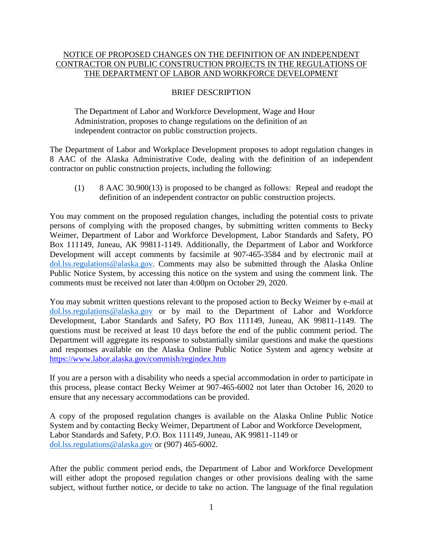## NOTICE OF PROPOSED CHANGES ON THE DEFINITION OF AN INDEPENDENT CONTRACTOR ON PUBLIC CONSTRUCTION PROJECTS IN THE REGULATIONS OF THE DEPARTMENT OF LABOR AND WORKFORCE DEVELOPMENT

## BRIEF DESCRIPTION

The Department of Labor and Workforce Development, Wage and Hour Administration, proposes to change regulations on the definition of an independent contractor on public construction projects.

The Department of Labor and Workplace Development proposes to adopt regulation changes in 8 AAC of the Alaska Administrative Code, dealing with the definition of an independent contractor on public construction projects, including the following:

(1) 8 AAC 30.900(13) is proposed to be changed as follows: Repeal and readopt the definition of an independent contractor on public construction projects.

You may comment on the proposed regulation changes, including the potential costs to private persons of complying with the proposed changes, by submitting written comments to Becky Weimer, Department of Labor and Workforce Development, Labor Standards and Safety, PO Box 111149, Juneau, AK 99811-1149. Additionally, the Department of Labor and Workforce Development will accept comments by facsimile at 907-465-3584 and by electronic mail at [dol.lss.regulations@alaska.gov.](mailto:dol.lss.regulations@alaska.gov) Comments may also be submitted through the Alaska Online Public Notice System, by accessing this notice on the system and using the comment link. The comments must be received not later than 4:00pm on October 29, 2020.

You may submit written questions relevant to the proposed action to Becky Weimer by e-mail at [dol.lss.regulations@alaska.gov](mailto:dol.lss.regulations@alaska.gov) or by mail to the Department of Labor and Workforce Development, Labor Standards and Safety, PO Box 111149, Juneau, AK 99811-1149. The questions must be received at least 10 days before the end of the public comment period. The Department will aggregate its response to substantially similar questions and make the questions and responses available on the Alaska Online Public Notice System and agency website at <https://www.labor.alaska.gov/commish/regindex.htm>

If you are a person with a disability who needs a special accommodation in order to participate in this process, please contact Becky Weimer at 907-465-6002 not later than October 16, 2020 to ensure that any necessary accommodations can be provided.

A copy of the proposed regulation changes is available on the Alaska Online Public Notice System and by contacting Becky Weimer, Department of Labor and Workforce Development, Labor Standards and Safety, P.O. Box 111149, Juneau, AK 99811-1149 or [dol.lss.regulations@alaska.gov](mailto:dol.lss.regulations@alaska.gov) or (907) 465-6002.

After the public comment period ends, the Department of Labor and Workforce Development will either adopt the proposed regulation changes or other provisions dealing with the same subject, without further notice, or decide to take no action. The language of the final regulation